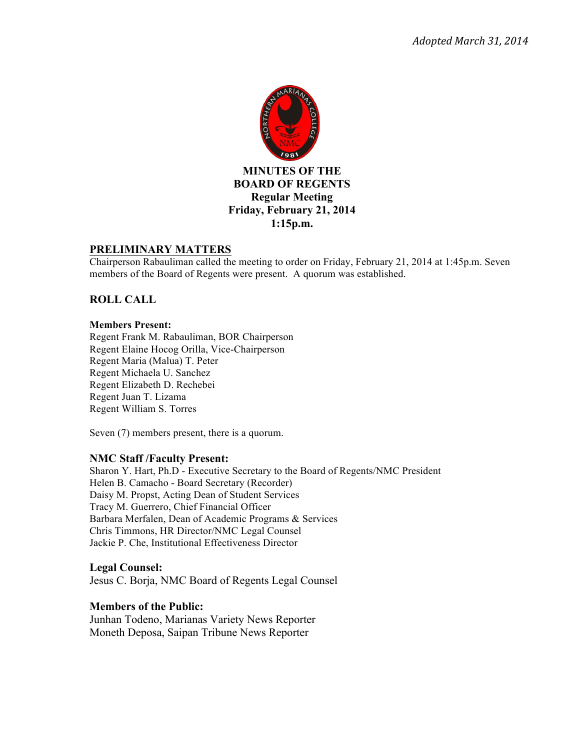

**MINUTES OF THE BOARD OF REGENTS Regular Meeting Friday, February 21, 2014 1:15p.m.** 

#### **PRELIMINARY MATTERS**

Chairperson Rabauliman called the meeting to order on Friday, February 21, 2014 at 1:45p.m. Seven members of the Board of Regents were present. A quorum was established.

### **ROLL CALL**

#### **Members Present:**

Regent Frank M. Rabauliman, BOR Chairperson Regent Elaine Hocog Orilla, Vice-Chairperson Regent Maria (Malua) T. Peter Regent Michaela U. Sanchez Regent Elizabeth D. Rechebei Regent Juan T. Lizama Regent William S. Torres

Seven (7) members present, there is a quorum.

#### **NMC Staff /Faculty Present:**

Sharon Y. Hart, Ph.D - Executive Secretary to the Board of Regents/NMC President Helen B. Camacho - Board Secretary (Recorder) Daisy M. Propst, Acting Dean of Student Services Tracy M. Guerrero, Chief Financial Officer Barbara Merfalen, Dean of Academic Programs & Services Chris Timmons, HR Director/NMC Legal Counsel Jackie P. Che, Institutional Effectiveness Director

### **Legal Counsel:**

Jesus C. Borja, NMC Board of Regents Legal Counsel

#### **Members of the Public:**

Junhan Todeno, Marianas Variety News Reporter Moneth Deposa, Saipan Tribune News Reporter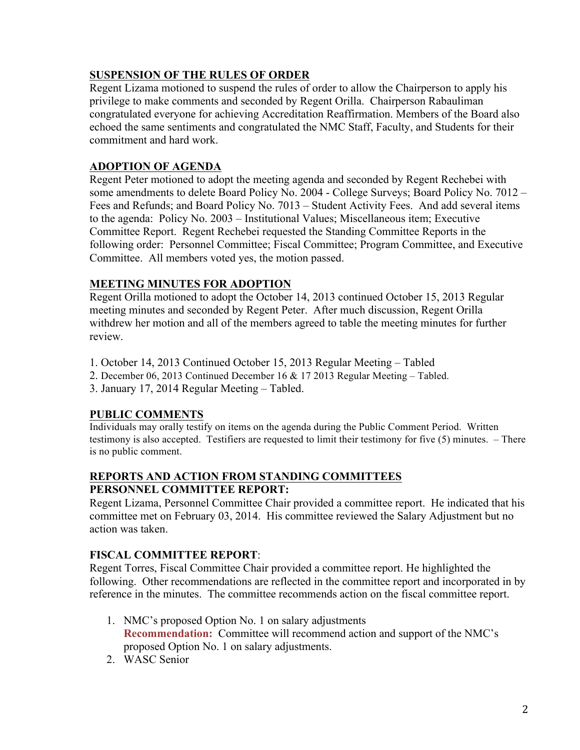## **SUSPENSION OF THE RULES OF ORDER**

Regent Lizama motioned to suspend the rules of order to allow the Chairperson to apply his privilege to make comments and seconded by Regent Orilla. Chairperson Rabauliman congratulated everyone for achieving Accreditation Reaffirmation. Members of the Board also echoed the same sentiments and congratulated the NMC Staff, Faculty, and Students for their commitment and hard work.

## **ADOPTION OF AGENDA**

Regent Peter motioned to adopt the meeting agenda and seconded by Regent Rechebei with some amendments to delete Board Policy No. 2004 - College Surveys; Board Policy No. 7012 – Fees and Refunds; and Board Policy No. 7013 – Student Activity Fees. And add several items to the agenda: Policy No. 2003 – Institutional Values; Miscellaneous item; Executive Committee Report. Regent Rechebei requested the Standing Committee Reports in the following order: Personnel Committee; Fiscal Committee; Program Committee, and Executive Committee. All members voted yes, the motion passed.

## **MEETING MINUTES FOR ADOPTION**

Regent Orilla motioned to adopt the October 14, 2013 continued October 15, 2013 Regular meeting minutes and seconded by Regent Peter. After much discussion, Regent Orilla withdrew her motion and all of the members agreed to table the meeting minutes for further review.

- 1. October 14, 2013 Continued October 15, 2013 Regular Meeting Tabled
- 2. December 06, 2013 Continued December 16 & 17 2013 Regular Meeting Tabled.
- 3. January 17, 2014 Regular Meeting Tabled.

# **PUBLIC COMMENTS**

Individuals may orally testify on items on the agenda during the Public Comment Period. Written testimony is also accepted. Testifiers are requested to limit their testimony for five (5) minutes. – There is no public comment.

## **REPORTS AND ACTION FROM STANDING COMMITTEES PERSONNEL COMMITTEE REPORT:**

Regent Lizama, Personnel Committee Chair provided a committee report. He indicated that his committee met on February 03, 2014. His committee reviewed the Salary Adjustment but no action was taken.

# **FISCAL COMMITTEE REPORT**:

Regent Torres, Fiscal Committee Chair provided a committee report. He highlighted the following. Other recommendations are reflected in the committee report and incorporated in by reference in the minutes. The committee recommends action on the fiscal committee report.

- 1. NMC's proposed Option No. 1 on salary adjustments **Recommendation:** Committee will recommend action and support of the NMC's proposed Option No. 1 on salary adjustments.
- 2. WASC Senior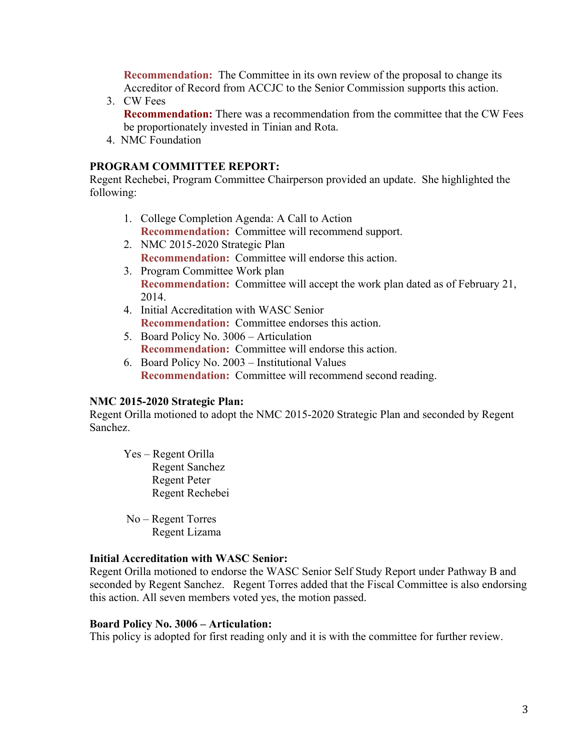**Recommendation:** The Committee in its own review of the proposal to change its Accreditor of Record from ACCJC to the Senior Commission supports this action.

- 3. CW Fees **Recommendation:** There was a recommendation from the committee that the CW Fees be proportionately invested in Tinian and Rota.
- 4. NMC Foundation

### **PROGRAM COMMITTEE REPORT:**

Regent Rechebei, Program Committee Chairperson provided an update. She highlighted the following:

- 1. College Completion Agenda: A Call to Action **Recommendation:** Committee will recommend support.
- 2. NMC 2015-2020 Strategic Plan **Recommendation:** Committee will endorse this action.
- 3. Program Committee Work plan **Recommendation:** Committee will accept the work plan dated as of February 21, 2014.
- 4. Initial Accreditation with WASC Senior **Recommendation:** Committee endorses this action.
- 5. Board Policy No. 3006 Articulation **Recommendation:** Committee will endorse this action.
- 6. Board Policy No. 2003 Institutional Values **Recommendation:** Committee will recommend second reading.

### **NMC 2015-2020 Strategic Plan:**

Regent Orilla motioned to adopt the NMC 2015-2020 Strategic Plan and seconded by Regent Sanchez.

- Yes Regent Orilla Regent Sanchez Regent Peter Regent Rechebei
- No Regent Torres Regent Lizama

#### **Initial Accreditation with WASC Senior:**

Regent Orilla motioned to endorse the WASC Senior Self Study Report under Pathway B and seconded by Regent Sanchez. Regent Torres added that the Fiscal Committee is also endorsing this action. All seven members voted yes, the motion passed.

#### **Board Policy No. 3006 – Articulation:**

This policy is adopted for first reading only and it is with the committee for further review.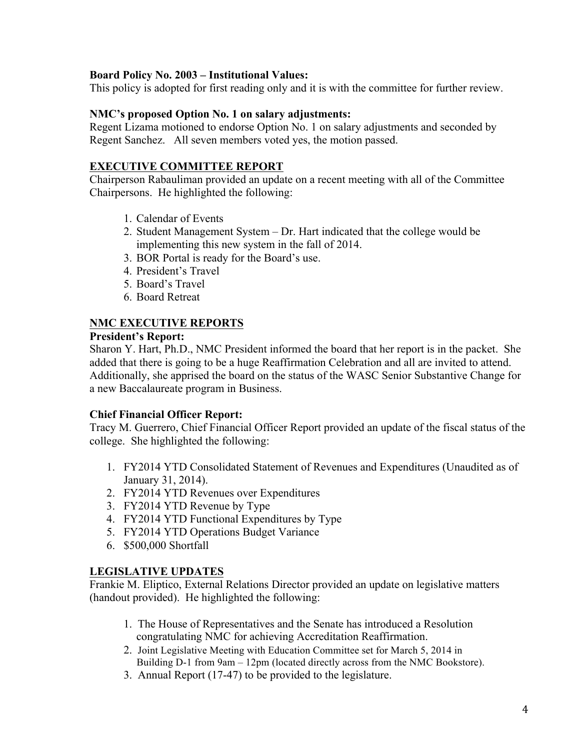### **Board Policy No. 2003 – Institutional Values:**

This policy is adopted for first reading only and it is with the committee for further review.

### **NMC's proposed Option No. 1 on salary adjustments:**

Regent Lizama motioned to endorse Option No. 1 on salary adjustments and seconded by Regent Sanchez. All seven members voted yes, the motion passed.

### **EXECUTIVE COMMITTEE REPORT**

Chairperson Rabauliman provided an update on a recent meeting with all of the Committee Chairpersons. He highlighted the following:

- 1. Calendar of Events
- 2. Student Management System Dr. Hart indicated that the college would be implementing this new system in the fall of 2014.
- 3. BOR Portal is ready for the Board's use.
- 4. President's Travel
- 5. Board's Travel
- 6. Board Retreat

### **NMC EXECUTIVE REPORTS**

#### **President's Report:**

Sharon Y. Hart, Ph.D., NMC President informed the board that her report is in the packet. She added that there is going to be a huge Reaffirmation Celebration and all are invited to attend. Additionally, she apprised the board on the status of the WASC Senior Substantive Change for a new Baccalaureate program in Business.

### **Chief Financial Officer Report:**

Tracy M. Guerrero, Chief Financial Officer Report provided an update of the fiscal status of the college. She highlighted the following:

- 1. FY2014 YTD Consolidated Statement of Revenues and Expenditures (Unaudited as of January 31, 2014).
- 2. FY2014 YTD Revenues over Expenditures
- 3. FY2014 YTD Revenue by Type
- 4. FY2014 YTD Functional Expenditures by Type
- 5. FY2014 YTD Operations Budget Variance
- 6. \$500,000 Shortfall

### **LEGISLATIVE UPDATES**

Frankie M. Eliptico, External Relations Director provided an update on legislative matters (handout provided). He highlighted the following:

- 1. The House of Representatives and the Senate has introduced a Resolution congratulating NMC for achieving Accreditation Reaffirmation.
- 2. Joint Legislative Meeting with Education Committee set for March 5, 2014 in Building D-1 from 9am – 12pm (located directly across from the NMC Bookstore).
- 3. Annual Report (17-47) to be provided to the legislature.